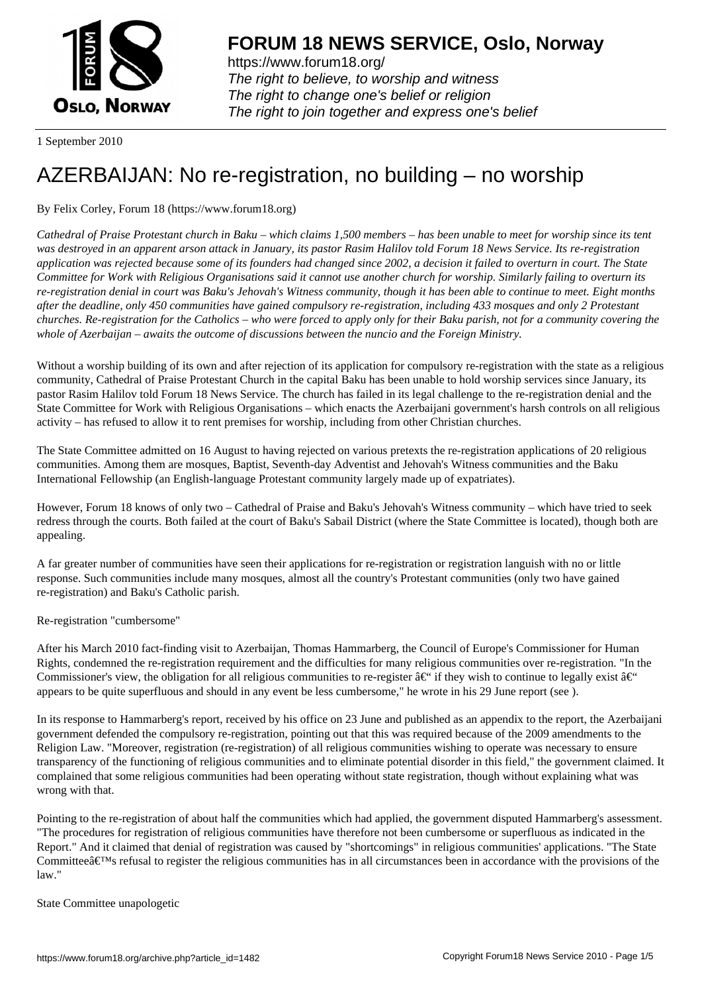

https://www.forum18.org/ The right to believe, to worship and witness The right to change one's belief or religion [The right to join together a](https://www.forum18.org/)nd express one's belief

1 September 2010

## [AZERBAIJAN: N](https://www.forum18.org)o re-registration, no building – no worship

By Felix Corley, Forum 18 (https://www.forum18.org)

*Cathedral of Praise Protestant church in Baku – which claims 1,500 members – has been unable to meet for worship since its tent was destroyed in an apparent arson attack in January, its pastor Rasim Halilov told Forum 18 News Service. Its re-registration application was rejected because some of its founders had changed since 2002, a decision it failed to overturn in court. The State Committee for Work with Religious Organisations said it cannot use another church for worship. Similarly failing to overturn its re-registration denial in court was Baku's Jehovah's Witness community, though it has been able to continue to meet. Eight months after the deadline, only 450 communities have gained compulsory re-registration, including 433 mosques and only 2 Protestant churches. Re-registration for the Catholics – who were forced to apply only for their Baku parish, not for a community covering the whole of Azerbaijan – awaits the outcome of discussions between the nuncio and the Foreign Ministry.*

Without a worship building of its own and after rejection of its application for compulsory re-registration with the state as a religious community, Cathedral of Praise Protestant Church in the capital Baku has been unable to hold worship services since January, its pastor Rasim Halilov told Forum 18 News Service. The church has failed in its legal challenge to the re-registration denial and the State Committee for Work with Religious Organisations – which enacts the Azerbaijani government's harsh controls on all religious activity – has refused to allow it to rent premises for worship, including from other Christian churches.

The State Committee admitted on 16 August to having rejected on various pretexts the re-registration applications of 20 religious communities. Among them are mosques, Baptist, Seventh-day Adventist and Jehovah's Witness communities and the Baku International Fellowship (an English-language Protestant community largely made up of expatriates).

However, Forum 18 knows of only two – Cathedral of Praise and Baku's Jehovah's Witness community – which have tried to seek redress through the courts. Both failed at the court of Baku's Sabail District (where the State Committee is located), though both are appealing.

A far greater number of communities have seen their applications for re-registration or registration languish with no or little response. Such communities include many mosques, almost all the country's Protestant communities (only two have gained re-registration) and Baku's Catholic parish.

Re-registration "cumbersome"

After his March 2010 fact-finding visit to Azerbaijan, Thomas Hammarberg, the Council of Europe's Commissioner for Human Rights, condemned the re-registration requirement and the difficulties for many religious communities over re-registration. "In the Commissioner's view, the obligation for all religious communities to re-register  $\hat{a}\epsilon^{\prime\prime}$  if they wish to continue to legally exist  $\hat{a}\epsilon^{\prime\prime}$ appears to be quite superfluous and should in any event be less cumbersome," he wrote in his 29 June report (see ).

In its response to Hammarberg's report, received by his office on 23 June and published as an appendix to the report, the Azerbaijani government defended the compulsory re-registration, pointing out that this was required because of the 2009 amendments to the Religion Law. "Moreover, registration (re-registration) of all religious communities wishing to operate was necessary to ensure transparency of the functioning of religious communities and to eliminate potential disorder in this field," the government claimed. It complained that some religious communities had been operating without state registration, though without explaining what was wrong with that.

Pointing to the re-registration of about half the communities which had applied, the government disputed Hammarberg's assessment. "The procedures for registration of religious communities have therefore not been cumbersome or superfluous as indicated in the Report." And it claimed that denial of registration was caused by "shortcomings" in religious communities' applications. "The State Committee $\hat{\mathbf{a}} \in \mathbb{N}$  refusal to register the religious communities has in all circumstances been in accordance with the provisions of the law."

State Committee unapologetic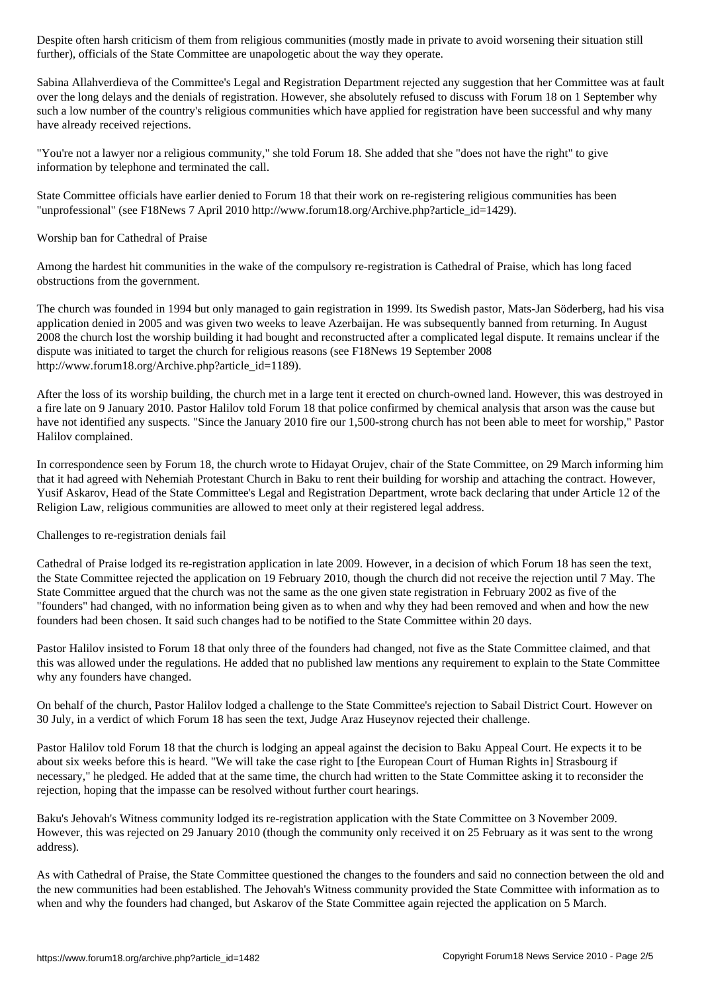further of the State Committee are unapologically committed as  $\mathcal{O}(n)$  the way theorem in the way theorem in the way theorem in the way theorem in the way theorem in the way theorem in the way theorem in the way theore

Sabina Allahverdieva of the Committee's Legal and Registration Department rejected any suggestion that her Committee was at fault over the long delays and the denials of registration. However, she absolutely refused to discuss with Forum 18 on 1 September why such a low number of the country's religious communities which have applied for registration have been successful and why many have already received rejections.

"You're not a lawyer nor a religious community," she told Forum 18. She added that she "does not have the right" to give information by telephone and terminated the call.

State Committee officials have earlier denied to Forum 18 that their work on re-registering religious communities has been "unprofessional" (see F18News 7 April 2010 http://www.forum18.org/Archive.php?article\_id=1429).

## Worship ban for Cathedral of Praise

Among the hardest hit communities in the wake of the compulsory re-registration is Cathedral of Praise, which has long faced obstructions from the government.

The church was founded in 1994 but only managed to gain registration in 1999. Its Swedish pastor, Mats-Jan Söderberg, had his visa application denied in 2005 and was given two weeks to leave Azerbaijan. He was subsequently banned from returning. In August 2008 the church lost the worship building it had bought and reconstructed after a complicated legal dispute. It remains unclear if the dispute was initiated to target the church for religious reasons (see F18News 19 September 2008 http://www.forum18.org/Archive.php?article\_id=1189).

After the loss of its worship building, the church met in a large tent it erected on church-owned land. However, this was destroyed in a fire late on 9 January 2010. Pastor Halilov told Forum 18 that police confirmed by chemical analysis that arson was the cause but have not identified any suspects. "Since the January 2010 fire our 1,500-strong church has not been able to meet for worship," Pastor Halilov complained.

In correspondence seen by Forum 18, the church wrote to Hidayat Orujev, chair of the State Committee, on 29 March informing him that it had agreed with Nehemiah Protestant Church in Baku to rent their building for worship and attaching the contract. However, Yusif Askarov, Head of the State Committee's Legal and Registration Department, wrote back declaring that under Article 12 of the Religion Law, religious communities are allowed to meet only at their registered legal address.

Challenges to re-registration denials fail

Cathedral of Praise lodged its re-registration application in late 2009. However, in a decision of which Forum 18 has seen the text, the State Committee rejected the application on 19 February 2010, though the church did not receive the rejection until 7 May. The State Committee argued that the church was not the same as the one given state registration in February 2002 as five of the "founders" had changed, with no information being given as to when and why they had been removed and when and how the new founders had been chosen. It said such changes had to be notified to the State Committee within 20 days.

Pastor Halilov insisted to Forum 18 that only three of the founders had changed, not five as the State Committee claimed, and that this was allowed under the regulations. He added that no published law mentions any requirement to explain to the State Committee why any founders have changed.

On behalf of the church, Pastor Halilov lodged a challenge to the State Committee's rejection to Sabail District Court. However on 30 July, in a verdict of which Forum 18 has seen the text, Judge Araz Huseynov rejected their challenge.

Pastor Halilov told Forum 18 that the church is lodging an appeal against the decision to Baku Appeal Court. He expects it to be about six weeks before this is heard. "We will take the case right to [the European Court of Human Rights in] Strasbourg if necessary," he pledged. He added that at the same time, the church had written to the State Committee asking it to reconsider the rejection, hoping that the impasse can be resolved without further court hearings.

Baku's Jehovah's Witness community lodged its re-registration application with the State Committee on 3 November 2009. However, this was rejected on 29 January 2010 (though the community only received it on 25 February as it was sent to the wrong address).

As with Cathedral of Praise, the State Committee questioned the changes to the founders and said no connection between the old and the new communities had been established. The Jehovah's Witness community provided the State Committee with information as to when and why the founders had changed, but Askarov of the State Committee again rejected the application on 5 March.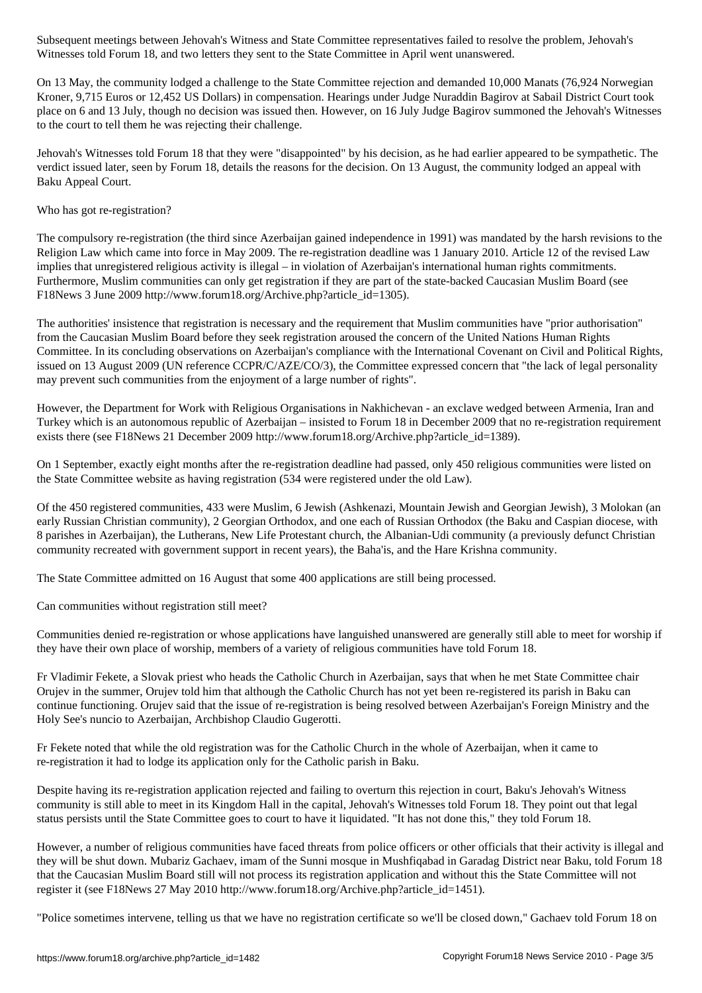On 13 May, the community lodged a challenge to the State Committee rejection and demanded 10,000 Manats (76,924 Norwegian Kroner, 9,715 Euros or 12,452 US Dollars) in compensation. Hearings under Judge Nuraddin Bagirov at Sabail District Court took place on 6 and 13 July, though no decision was issued then. However, on 16 July Judge Bagirov summoned the Jehovah's Witnesses to the court to tell them he was rejecting their challenge.

Witnesses told Forum 18, and two letters they sent to the State Committee in April went unanswered.

Jehovah's Witnesses told Forum 18 that they were "disappointed" by his decision, as he had earlier appeared to be sympathetic. The verdict issued later, seen by Forum 18, details the reasons for the decision. On 13 August, the community lodged an appeal with Baku Appeal Court.

Who has got re-registration?

The compulsory re-registration (the third since Azerbaijan gained independence in 1991) was mandated by the harsh revisions to the Religion Law which came into force in May 2009. The re-registration deadline was 1 January 2010. Article 12 of the revised Law implies that unregistered religious activity is illegal – in violation of Azerbaijan's international human rights commitments. Furthermore, Muslim communities can only get registration if they are part of the state-backed Caucasian Muslim Board (see F18News 3 June 2009 http://www.forum18.org/Archive.php?article\_id=1305).

The authorities' insistence that registration is necessary and the requirement that Muslim communities have "prior authorisation" from the Caucasian Muslim Board before they seek registration aroused the concern of the United Nations Human Rights Committee. In its concluding observations on Azerbaijan's compliance with the International Covenant on Civil and Political Rights, issued on 13 August 2009 (UN reference CCPR/C/AZE/CO/3), the Committee expressed concern that "the lack of legal personality may prevent such communities from the enjoyment of a large number of rights".

However, the Department for Work with Religious Organisations in Nakhichevan - an exclave wedged between Armenia, Iran and Turkey which is an autonomous republic of Azerbaijan – insisted to Forum 18 in December 2009 that no re-registration requirement exists there (see F18News 21 December 2009 http://www.forum18.org/Archive.php?article\_id=1389).

On 1 September, exactly eight months after the re-registration deadline had passed, only 450 religious communities were listed on the State Committee website as having registration (534 were registered under the old Law).

Of the 450 registered communities, 433 were Muslim, 6 Jewish (Ashkenazi, Mountain Jewish and Georgian Jewish), 3 Molokan (an early Russian Christian community), 2 Georgian Orthodox, and one each of Russian Orthodox (the Baku and Caspian diocese, with 8 parishes in Azerbaijan), the Lutherans, New Life Protestant church, the Albanian-Udi community (a previously defunct Christian community recreated with government support in recent years), the Baha'is, and the Hare Krishna community.

The State Committee admitted on 16 August that some 400 applications are still being processed.

Can communities without registration still meet?

Communities denied re-registration or whose applications have languished unanswered are generally still able to meet for worship if they have their own place of worship, members of a variety of religious communities have told Forum 18.

Fr Vladimir Fekete, a Slovak priest who heads the Catholic Church in Azerbaijan, says that when he met State Committee chair Orujev in the summer, Orujev told him that although the Catholic Church has not yet been re-registered its parish in Baku can continue functioning. Orujev said that the issue of re-registration is being resolved between Azerbaijan's Foreign Ministry and the Holy See's nuncio to Azerbaijan, Archbishop Claudio Gugerotti.

Fr Fekete noted that while the old registration was for the Catholic Church in the whole of Azerbaijan, when it came to re-registration it had to lodge its application only for the Catholic parish in Baku.

Despite having its re-registration application rejected and failing to overturn this rejection in court, Baku's Jehovah's Witness community is still able to meet in its Kingdom Hall in the capital, Jehovah's Witnesses told Forum 18. They point out that legal status persists until the State Committee goes to court to have it liquidated. "It has not done this," they told Forum 18.

However, a number of religious communities have faced threats from police officers or other officials that their activity is illegal and they will be shut down. Mubariz Gachaev, imam of the Sunni mosque in Mushfiqabad in Garadag District near Baku, told Forum 18 that the Caucasian Muslim Board still will not process its registration application and without this the State Committee will not register it (see F18News 27 May 2010 http://www.forum18.org/Archive.php?article\_id=1451).

"Police sometimes intervene, telling us that we have no registration certificate so we'll be closed down," Gachaev told Forum 18 on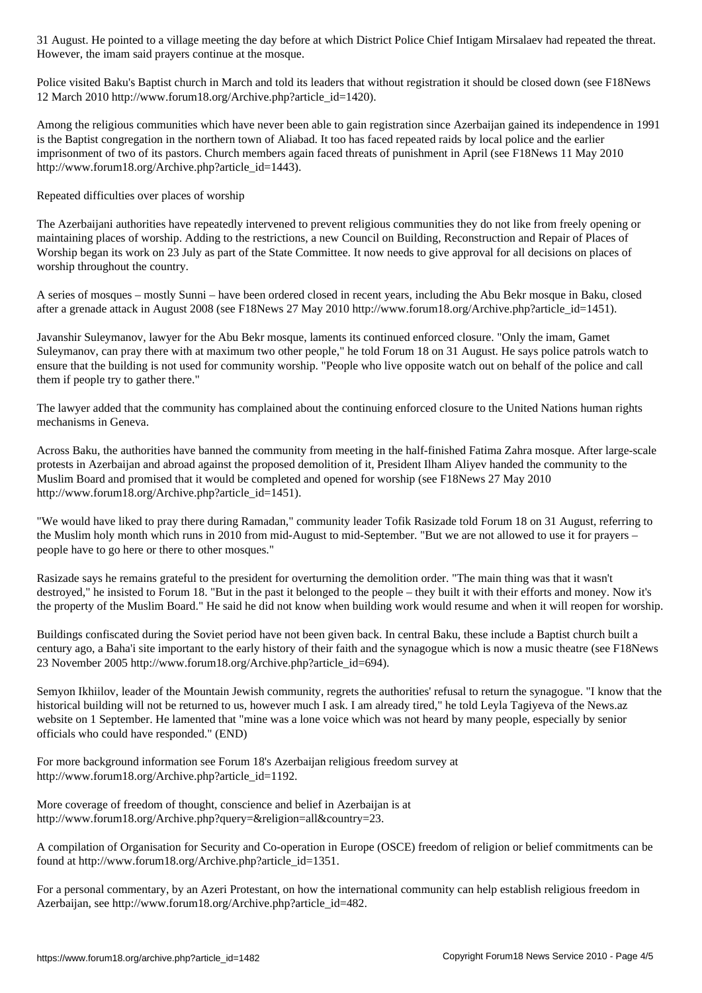However, the imam said prayers continue at the mosque.

Police visited Baku's Baptist church in March and told its leaders that without registration it should be closed down (see F18News 12 March 2010 http://www.forum18.org/Archive.php?article\_id=1420).

Among the religious communities which have never been able to gain registration since Azerbaijan gained its independence in 1991 is the Baptist congregation in the northern town of Aliabad. It too has faced repeated raids by local police and the earlier imprisonment of two of its pastors. Church members again faced threats of punishment in April (see F18News 11 May 2010 http://www.forum18.org/Archive.php?article\_id=1443).

Repeated difficulties over places of worship

The Azerbaijani authorities have repeatedly intervened to prevent religious communities they do not like from freely opening or maintaining places of worship. Adding to the restrictions, a new Council on Building, Reconstruction and Repair of Places of Worship began its work on 23 July as part of the State Committee. It now needs to give approval for all decisions on places of worship throughout the country.

A series of mosques – mostly Sunni – have been ordered closed in recent years, including the Abu Bekr mosque in Baku, closed after a grenade attack in August 2008 (see F18News 27 May 2010 http://www.forum18.org/Archive.php?article\_id=1451).

Javanshir Suleymanov, lawyer for the Abu Bekr mosque, laments its continued enforced closure. "Only the imam, Gamet Suleymanov, can pray there with at maximum two other people," he told Forum 18 on 31 August. He says police patrols watch to ensure that the building is not used for community worship. "People who live opposite watch out on behalf of the police and call them if people try to gather there."

The lawyer added that the community has complained about the continuing enforced closure to the United Nations human rights mechanisms in Geneva.

Across Baku, the authorities have banned the community from meeting in the half-finished Fatima Zahra mosque. After large-scale protests in Azerbaijan and abroad against the proposed demolition of it, President Ilham Aliyev handed the community to the Muslim Board and promised that it would be completed and opened for worship (see F18News 27 May 2010 http://www.forum18.org/Archive.php?article\_id=1451).

"We would have liked to pray there during Ramadan," community leader Tofik Rasizade told Forum 18 on 31 August, referring to the Muslim holy month which runs in 2010 from mid-August to mid-September. "But we are not allowed to use it for prayers – people have to go here or there to other mosques."

Rasizade says he remains grateful to the president for overturning the demolition order. "The main thing was that it wasn't destroyed," he insisted to Forum 18. "But in the past it belonged to the people – they built it with their efforts and money. Now it's the property of the Muslim Board." He said he did not know when building work would resume and when it will reopen for worship.

Buildings confiscated during the Soviet period have not been given back. In central Baku, these include a Baptist church built a century ago, a Baha'i site important to the early history of their faith and the synagogue which is now a music theatre (see F18News 23 November 2005 http://www.forum18.org/Archive.php?article\_id=694).

Semyon Ikhiilov, leader of the Mountain Jewish community, regrets the authorities' refusal to return the synagogue. "I know that the historical building will not be returned to us, however much I ask. I am already tired," he told Leyla Tagiyeva of the News.az website on 1 September. He lamented that "mine was a lone voice which was not heard by many people, especially by senior officials who could have responded." (END)

For more background information see Forum 18's Azerbaijan religious freedom survey at http://www.forum18.org/Archive.php?article\_id=1192.

More coverage of freedom of thought, conscience and belief in Azerbaijan is at http://www.forum18.org/Archive.php?query=&religion=all&country=23.

A compilation of Organisation for Security and Co-operation in Europe (OSCE) freedom of religion or belief commitments can be found at http://www.forum18.org/Archive.php?article\_id=1351.

For a personal commentary, by an Azeri Protestant, on how the international community can help establish religious freedom in Azerbaijan, see http://www.forum18.org/Archive.php?article\_id=482.